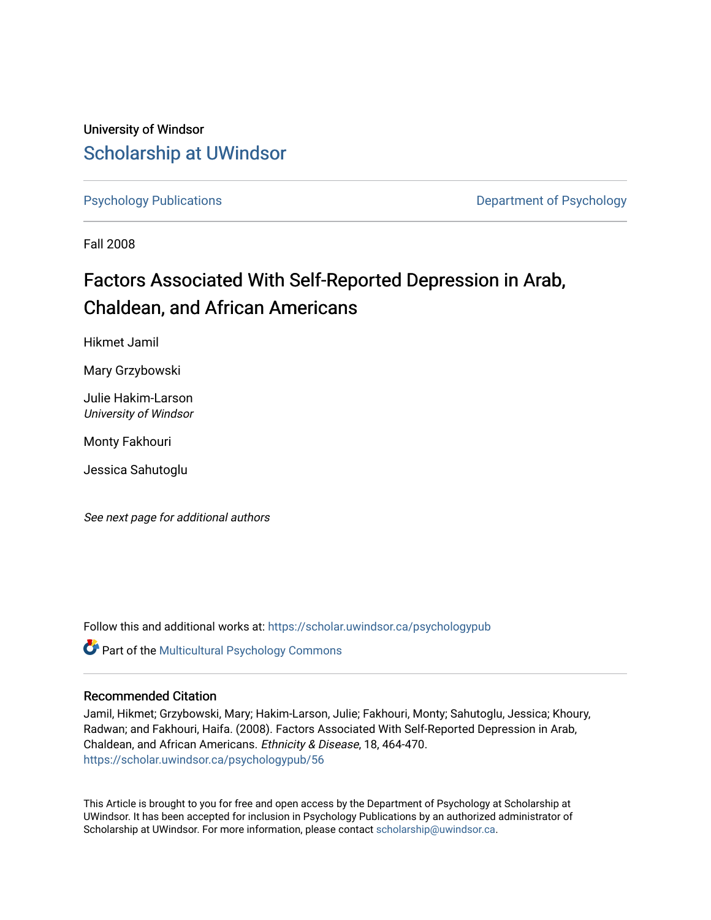University of Windsor [Scholarship at UWindsor](https://scholar.uwindsor.ca/) 

[Psychology Publications](https://scholar.uwindsor.ca/psychologypub) **Department of Psychology** 

Fall 2008

# Factors Associated With Self-Reported Depression in Arab, Chaldean, and African Americans

Hikmet Jamil

Mary Grzybowski

Julie Hakim-Larson University of Windsor

Monty Fakhouri

Jessica Sahutoglu

See next page for additional authors

Follow this and additional works at: [https://scholar.uwindsor.ca/psychologypub](https://scholar.uwindsor.ca/psychologypub?utm_source=scholar.uwindsor.ca%2Fpsychologypub%2F56&utm_medium=PDF&utm_campaign=PDFCoverPages) 

Part of the [Multicultural Psychology Commons](http://network.bepress.com/hgg/discipline/1237?utm_source=scholar.uwindsor.ca%2Fpsychologypub%2F56&utm_medium=PDF&utm_campaign=PDFCoverPages) 

### Recommended Citation

Jamil, Hikmet; Grzybowski, Mary; Hakim-Larson, Julie; Fakhouri, Monty; Sahutoglu, Jessica; Khoury, Radwan; and Fakhouri, Haifa. (2008). Factors Associated With Self-Reported Depression in Arab, Chaldean, and African Americans. Ethnicity & Disease, 18, 464-470. [https://scholar.uwindsor.ca/psychologypub/56](https://scholar.uwindsor.ca/psychologypub/56?utm_source=scholar.uwindsor.ca%2Fpsychologypub%2F56&utm_medium=PDF&utm_campaign=PDFCoverPages)

This Article is brought to you for free and open access by the Department of Psychology at Scholarship at UWindsor. It has been accepted for inclusion in Psychology Publications by an authorized administrator of Scholarship at UWindsor. For more information, please contact [scholarship@uwindsor.ca.](mailto:scholarship@uwindsor.ca)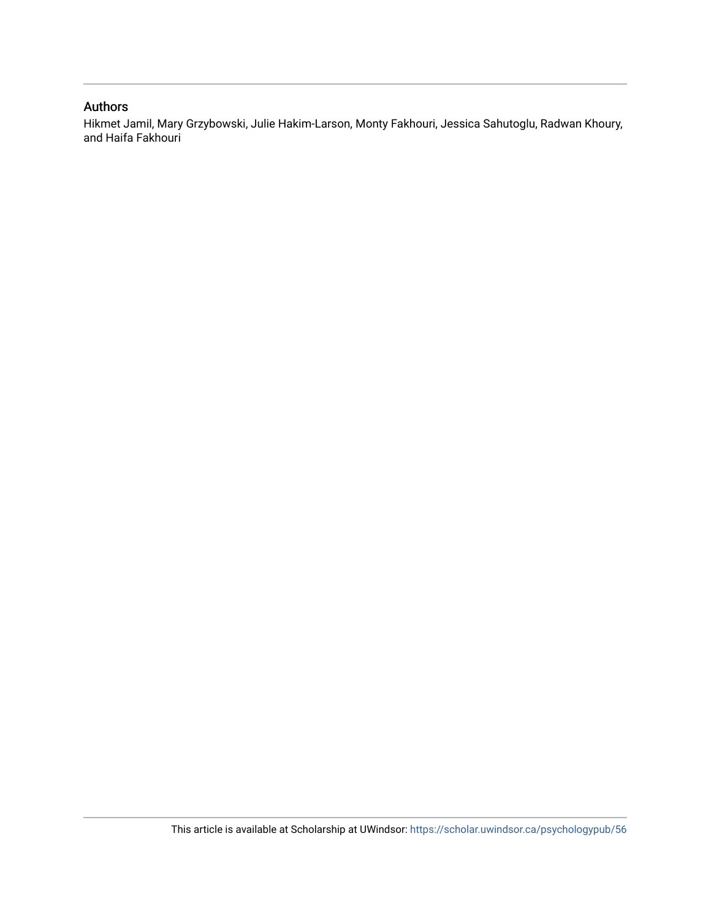### Authors

Hikmet Jamil, Mary Grzybowski, Julie Hakim-Larson, Monty Fakhouri, Jessica Sahutoglu, Radwan Khoury, and Haifa Fakhouri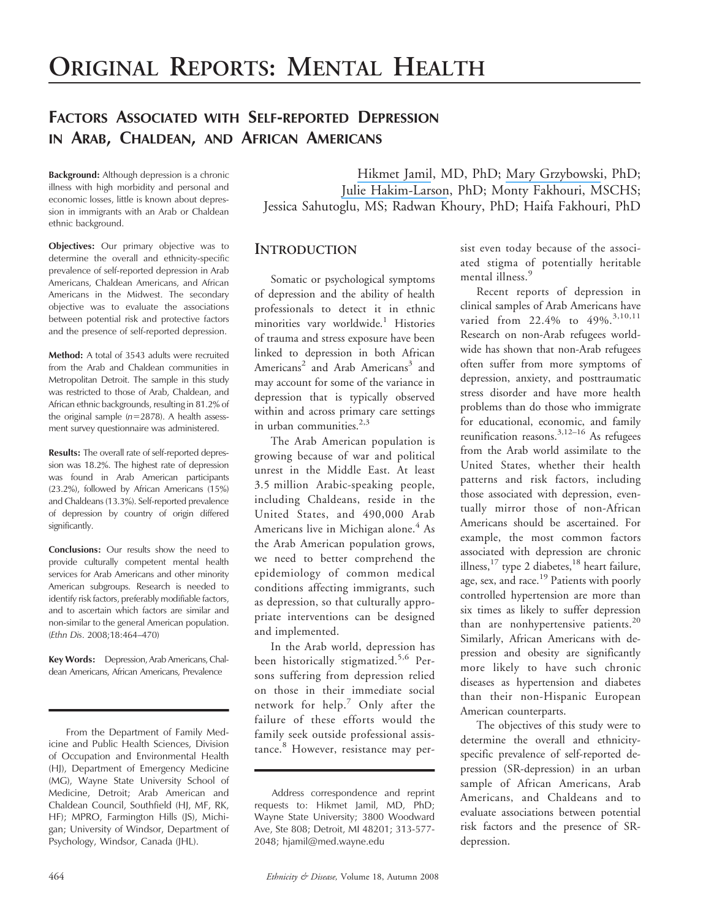# FACTORS ASSOCIATED WITH SELF-REPORTED DEPRESSION IN ARAB, CHALDEAN, AND AFRICAN AMERICANS

Background: Although depression is a chronic illness with high morbidity and personal and economic losses, little is known about depression in immigrants with an Arab or Chaldean ethnic background.

Objectives: Our primary objective was to determine the overall and ethnicity-specific prevalence of self-reported depression in Arab Americans, Chaldean Americans, and African Americans in the Midwest. The secondary objective was to evaluate the associations between potential risk and protective factors and the presence of self-reported depression.

Method: A total of 3543 adults were recruited from the Arab and Chaldean communities in Metropolitan Detroit. The sample in this study was restricted to those of Arab, Chaldean, and African ethnic backgrounds, resulting in 81.2% of the original sample  $(n=2878)$ . A health assessment survey questionnaire was administered.

Results: The overall rate of self-reported depression was 18.2%. The highest rate of depression was found in Arab American participants (23.2%), followed by African Americans (15%) and Chaldeans (13.3%). Self-reported prevalence of depression by country of origin differed significantly.

Conclusions: Our results show the need to provide culturally competent mental health services for Arab Americans and other minority American subgroups. Research is needed to identify risk factors, preferably modifiable factors, and to ascertain which factors are similar and non-similar to the general American population. (Ethn Dis. 2008;18:464–470)

Key Words: Depression, Arab Americans, Chaldean Americans, African Americans, Prevalence

From the Department of Family Medicine and Public Health Sciences, Division of Occupation and Environmental Health (HJ), Department of Emergency Medicine (MG), Wayne State University School of Medicine, Detroit; Arab American and Chaldean Council, Southfield (HJ, MF, RK, HF); MPRO, Farmington Hills (JS), Michigan; University of Windsor, Department of Psychology, Windsor, Canada (JHL).

[Hikmet Jamil](https://www.researchgate.net/profile/Hikmet_Jamil?el=1_x_100&enrichId=rgreq-b1064d2f8b6f17362754620fc34a9f54-XXX&enrichSource=Y292ZXJQYWdlOzIzODA1OTMxO0FTOjE2NTYyMzE0MTI0OTAyNEAxNDE2NDk5MDQyMTcx), MD, PhD; [Mary Grzybowski](https://www.researchgate.net/profile/Mary_Grzybowski2?el=1_x_100&enrichId=rgreq-b1064d2f8b6f17362754620fc34a9f54-XXX&enrichSource=Y292ZXJQYWdlOzIzODA1OTMxO0FTOjE2NTYyMzE0MTI0OTAyNEAxNDE2NDk5MDQyMTcx), PhD; [Julie Hakim-Larson](https://www.researchgate.net/profile/Julie_Hakim-Larson?el=1_x_100&enrichId=rgreq-b1064d2f8b6f17362754620fc34a9f54-XXX&enrichSource=Y292ZXJQYWdlOzIzODA1OTMxO0FTOjE2NTYyMzE0MTI0OTAyNEAxNDE2NDk5MDQyMTcx), PhD; Monty Fakhouri, MSCHS; Jessica Sahutoglu, MS; Radwan Khoury, PhD; Haifa Fakhouri, PhD

### **INTRODUCTION**

Somatic or psychological symptoms of depression and the ability of health professionals to detect it in ethnic minorities vary worldwide.<sup>1</sup> Histories of trauma and stress exposure have been linked to depression in both African Americans<sup>2</sup> and Arab Americans<sup>3</sup> and may account for some of the variance in depression that is typically observed within and across primary care settings in urban communities. $2,3$ 

The Arab American population is growing because of war and political unrest in the Middle East. At least 3.5 million Arabic-speaking people, including Chaldeans, reside in the United States, and 490,000 Arab Americans live in Michigan alone. $4$ As the Arab American population grows, we need to better comprehend the epidemiology of common medical conditions affecting immigrants, such as depression, so that culturally appropriate interventions can be designed and implemented.

In the Arab world, depression has been historically stigmatized.<sup>5,6</sup> Persons suffering from depression relied on those in their immediate social network for help.<sup>7</sup> Only after the failure of these efforts would the family seek outside professional assistance.<sup>8</sup> However, resistance may per-

sist even today because of the associated stigma of potentially heritable mental illness.<sup>9</sup>

Recent reports of depression in clinical samples of Arab Americans have varied from 22.4% to 49%.<sup>3,10,11</sup> Research on non-Arab refugees worldwide has shown that non-Arab refugees often suffer from more symptoms of depression, anxiety, and posttraumatic stress disorder and have more health problems than do those who immigrate for educational, economic, and family reunification reasons.<sup>3,12–16</sup> As refugees from the Arab world assimilate to the United States, whether their health patterns and risk factors, including those associated with depression, eventually mirror those of non-African Americans should be ascertained. For example, the most common factors associated with depression are chronic illness,<sup>17</sup> type 2 diabetes,<sup>18</sup> heart failure, age, sex, and race.<sup>19</sup> Patients with poorly controlled hypertension are more than six times as likely to suffer depression than are nonhypertensive patients.<sup>20</sup> Similarly, African Americans with depression and obesity are significantly more likely to have such chronic diseases as hypertension and diabetes than their non-Hispanic European American counterparts.

The objectives of this study were to determine the overall and ethnicityspecific prevalence of self-reported depression (SR-depression) in an urban sample of African Americans, Arab Americans, and Chaldeans and to evaluate associations between potential risk factors and the presence of SRdepression.

Address correspondence and reprint requests to: Hikmet Jamil, MD, PhD; Wayne State University; 3800 Woodward Ave, Ste 808; Detroit, MI 48201; 313-577- 2048; hjamil@med.wayne.edu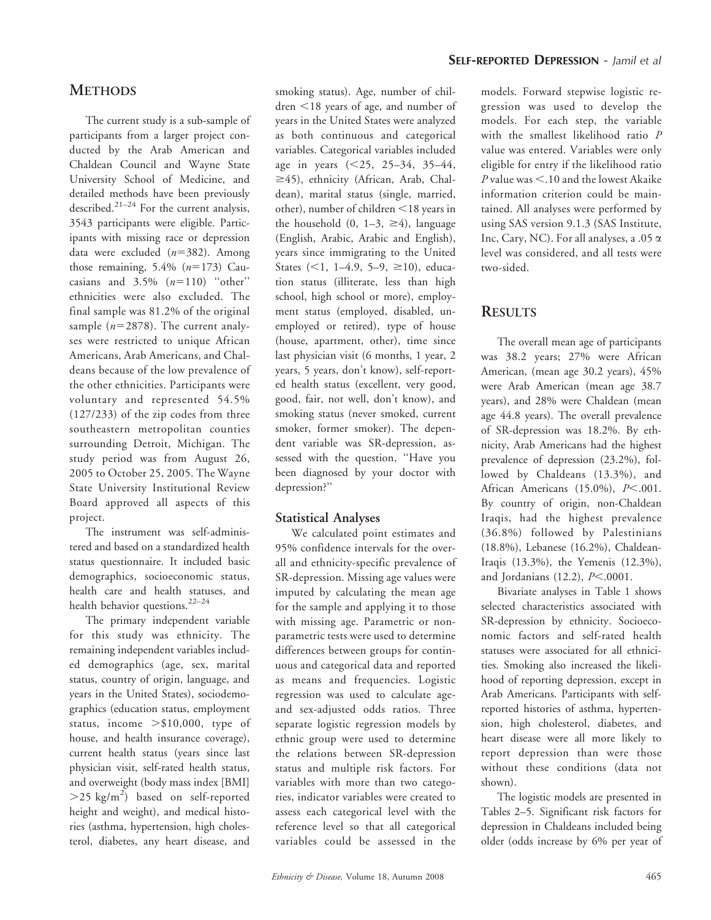## **METHODS**

The current study is a sub-sample of participants from a larger project conducted by the Arab American and Chaldean Council and Wayne State University School of Medicine, and detailed methods have been previously described.<sup>21-24</sup> For the current analysis, 3543 participants were eligible. Participants with missing race or depression data were excluded  $(n=382)$ . Among those remaining,  $5.4\%$  ( $n=173$ ) Caucasians and  $3.5\%$   $(n=110)$  "other" ethnicities were also excluded. The final sample was 81.2% of the original sample  $(n=2878)$ . The current analyses were restricted to unique African Americans, Arab Americans, and Chaldeans because of the low prevalence of the other ethnicities. Participants were voluntary and represented 54.5% (127/233) of the zip codes from three southeastern metropolitan counties surrounding Detroit, Michigan. The study period was from August 26, 2005 to October 25, 2005. The Wayne State University Institutional Review Board approved all aspects of this project.

The instrument was self-administered and based on a standardized health status questionnaire. It included basic demographics, socioeconomic status, health care and health statuses, and health behavior questions.<sup>22-24</sup>

The primary independent variable for this study was ethnicity. The remaining independent variables included demographics (age, sex, marital status, country of origin, language, and years in the United States), sociodemographics (education status, employment status, income  $> $10,000$ , type of house, and health insurance coverage), current health status (years since last physician visit, self-rated health status, and overweight (body mass index [BMI]  $>$ 25 kg/m<sup>2</sup>) based on self-reported height and weight), and medical histories (asthma, hypertension, high cholesterol, diabetes, any heart disease, and

smoking status). Age, number of children <18 years of age, and number of years in the United States were analyzed as both continuous and categorical variables. Categorical variables included age in years  $(<25, 25-34, 35-44,$  $\geq$ 45), ethnicity (African, Arab, Chaldean), marital status (single, married, other), number of children  $\leq$ 18 years in the household  $(0, 1-3, \geq 4)$ , language (English, Arabic, Arabic and English), years since immigrating to the United States  $($ <1, 1–4.9, 5–9,  $\geq$ 10), education status (illiterate, less than high school, high school or more), employment status (employed, disabled, unemployed or retired), type of house (house, apartment, other), time since last physician visit (6 months, 1 year, 2 years, 5 years, don't know), self-reported health status (excellent, very good, good, fair, not well, don't know), and smoking status (never smoked, current smoker, former smoker). The dependent variable was SR-depression, assessed with the question, ''Have you been diagnosed by your doctor with depression?''

### Statistical Analyses

We calculated point estimates and 95% confidence intervals for the overall and ethnicity-specific prevalence of SR-depression. Missing age values were imputed by calculating the mean age for the sample and applying it to those with missing age. Parametric or nonparametric tests were used to determine differences between groups for continuous and categorical data and reported as means and frequencies. Logistic regression was used to calculate ageand sex-adjusted odds ratios. Three separate logistic regression models by ethnic group were used to determine the relations between SR-depression status and multiple risk factors. For variables with more than two categories, indicator variables were created to assess each categorical level with the reference level so that all categorical variables could be assessed in the models. Forward stepwise logistic regression was used to develop the models. For each step, the variable with the smallest likelihood ratio P value was entered. Variables were only eligible for entry if the likelihood ratio  $P$  value was  $\leq$ .10 and the lowest Akaike information criterion could be maintained. All analyses were performed by using SAS version 9.1.3 (SAS Institute, Inc, Cary, NC). For all analyses, a  $.05 \alpha$ level was considered, and all tests were two-sided.

# **RESULTS**

The overall mean age of participants was 38.2 years; 27% were African American, (mean age 30.2 years), 45% were Arab American (mean age 38.7 years), and 28% were Chaldean (mean age 44.8 years). The overall prevalence of SR-depression was 18.2%. By ethnicity, Arab Americans had the highest prevalence of depression (23.2%), followed by Chaldeans (13.3%), and African Americans (15.0%),  $P<.001$ . By country of origin, non-Chaldean Iraqis, had the highest prevalence (36.8%) followed by Palestinians (18.8%), Lebanese (16.2%), Chaldean-Iraqis (13.3%), the Yemenis (12.3%), and Jordanians  $(12.2)$ ,  $P<.0001$ .

Bivariate analyses in Table 1 shows selected characteristics associated with SR-depression by ethnicity. Socioeconomic factors and self-rated health statuses were associated for all ethnicities. Smoking also increased the likelihood of reporting depression, except in Arab Americans. Participants with selfreported histories of asthma, hypertension, high cholesterol, diabetes, and heart disease were all more likely to report depression than were those without these conditions (data not shown).

The logistic models are presented in Tables 2–5. Significant risk factors for depression in Chaldeans included being older (odds increase by 6% per year of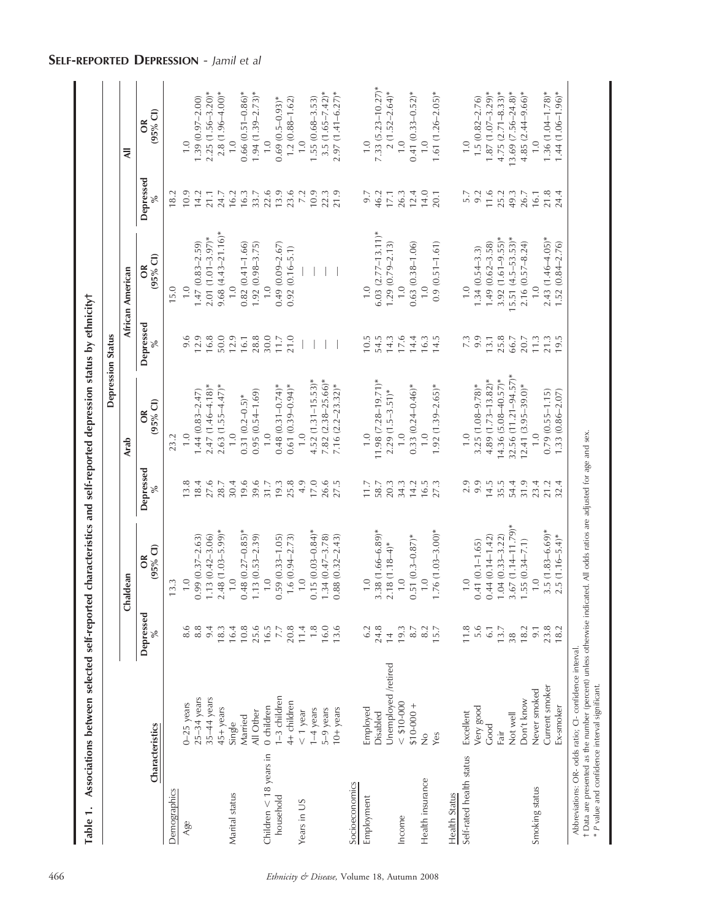|                                                |                                                                                                                                                                                  |                    |                        |              |                            | <b>Depression Status</b> |                         |           |                           |
|------------------------------------------------|----------------------------------------------------------------------------------------------------------------------------------------------------------------------------------|--------------------|------------------------|--------------|----------------------------|--------------------------|-------------------------|-----------|---------------------------|
|                                                |                                                                                                                                                                                  |                    | Chaldean               |              | Arab                       |                          | African American        |           | ₹                         |
| Characteristics                                |                                                                                                                                                                                  | Depressed<br>$\%$  | $(95%$ Cl)<br>$\delta$ | Depressed    | $(95%$ Cl)<br>$\delta$     | Depressed                | $(95%$ Cl)<br>õ         | Depressed | $(95%$ Cl)<br>$\delta$    |
| Demographics                                   |                                                                                                                                                                                  |                    | 13.3                   |              | 23.2                       |                          | 15.0                    | 18.2      |                           |
| Age                                            | $0 - 25$ years                                                                                                                                                                   | 8.6                | 1.0                    | 13.8         | $\overline{1}$ .0          | 9.6                      | $\overline{1}$ .0       | 10.9      | $\overline{1}$ .0         |
|                                                | $25-34$ years                                                                                                                                                                    | 8.8                | $0.99(0.37 - 2.63)$    | 18.4         | $1.44(0.83 - 2.47)$        | 12.9                     | $1.47(0.83 - 2.59)$     | 14.2      | $1.39(0.97-2.00)$         |
|                                                | $35-44$ years                                                                                                                                                                    | 9.4                | $1.13(0.42 - 3.06)$    | 27.6         | $2.47(1.46 - 4.18)*$       | 16.8                     | $2.01(1.01-3.97)$ *     | 21.1      | $2.25(1.56-3.20)$ *       |
|                                                | 45+ years                                                                                                                                                                        | 18.3               | $2.48(1.03 - 5.99)$ *  | 28.7         | $2.63(1.55 - 4.47)$ *      | 50.0                     | $9.68(4.43 - 21.16)^*$  | 24.7      | $2.8(1.96 - 4.00)*$       |
| Marital status                                 | Single                                                                                                                                                                           | 16.4               | $\frac{0}{1}$          | 30.4         |                            | 12.9                     | $\overline{1}$ .0       | 16.2      | $\frac{0}{1}$             |
|                                                | Married                                                                                                                                                                          | 10.8               | $0.48(0.27 - 0.85)$ *  | 19.6         | $0.31(0.2-0.5)$ *          | 16.1                     | $0.82(0.41 - 1.66)$     | 16.3      | $0.66$ $(0.51 - 0.86)$ *  |
|                                                | All Other                                                                                                                                                                        | 25.6<br>16.5       | $1.13(0.53 - 2.39)$    | 39.6         | $0.95(0.54 - 1.69)$        | 28.8                     | $1.92(0.98 - 3.75)$     | 33.7      | $1.94(1.39-2.73)$ *       |
| Children $<$ 18 years in                       | 0 children                                                                                                                                                                       |                    | $\overline{1.0}$       | 31.7         | $\overline{1}$ .0          | 30.0                     | $\frac{0}{1}$           | 22.6      | $\overline{1}$ .0         |
| household                                      | 1-3 children                                                                                                                                                                     | $7.7\,$            | $0.59(0.33 - 1.05)$    | 19.3         | $0.48(0.31 - 0.74)^*$      | 11.7                     | $0.49(0.09 - 2.67)$     | 13.9      | $0.69(0.5-0.93)*$         |
|                                                | 4+ children                                                                                                                                                                      | 20.8               | $1.6(0.94 - 2.73)$     | 25.8         | $0.61(0.39 - 0.94)^*$      | 21.0                     | $0.92(0.16 - 5.1)$      | 23.6      | $1.2(0.88 - 1.62)$        |
| Years in US                                    | $< 1$ year                                                                                                                                                                       |                    | 1.0                    | 4.9          | $\frac{0}{1}$              |                          |                         | 7.2       | $\overline{1}$ . O        |
|                                                | 1-4 years                                                                                                                                                                        | $\frac{11.4}{1.8}$ | $0.15(0.03 - 0.84)^*$  | 17.0         | $4.52(1.31 - 15.53)$ *     |                          |                         | 10.9      | $1.55(0.68 - 3.53)$       |
|                                                | 5-9 years                                                                                                                                                                        |                    | $1.34(0.47 - 3.78)$    | 26.6         | $7.82(2.38 - 25.66)$ *     |                          |                         | 22.3      | $3.5(1.65 - 7.42)$ *      |
|                                                | 10+ years                                                                                                                                                                        | 13.6               | $0.88(0.32 - 2.43)$    | 27.5         | 7.16 $(2.2-23.32)$ *       |                          |                         | 21.9      | $2.97(1.41 - 6.27)^*$     |
| Socioeconomics                                 |                                                                                                                                                                                  |                    |                        |              |                            |                          |                         |           |                           |
| Employment                                     | Employed                                                                                                                                                                         | 6.2                | $\overline{1.0}$       | 11.7         | $\overline{1}$ .0          | 10.5                     | $\overline{1}$ .0       | 9.7       | 0.1                       |
|                                                | Disabled                                                                                                                                                                         | 24.8               | $3.38(1.66 - 6.89)^*$  | 58.7         | 11.98 (7.28-19.71)*        | 54.5                     | $6.03$ $(2.77-13.11)^*$ | 46.2      | $7.33$ $(5.23 - 10.27)$ * |
|                                                | Unemployed /retired                                                                                                                                                              | $\frac{4}{3}$      | $2.18(1.18-4)$ *       | 20.3         | $2.29(1.5-3.51)*$          | 14.3                     | $1.29(0.79 - 2.13)$     | $17.1\,$  | $2(1.52-2.64)$ *          |
| Income                                         | $<$ \$10-000                                                                                                                                                                     | 19.3               | $\overline{1.0}$       | 34.3         | $\frac{0}{1}$              | 17.6                     | 0.1                     | 26.3      | $\overline{1}$ .0         |
|                                                | $$10-000 +$                                                                                                                                                                      | 8.7                | $0.51(0.3 - 0.87)$ *   | 14.2         | $0.33(0.24 - 0.46)^*$      | 14.4                     | $0.63(0.38 - 1.06)$     | 12.4      | $0.41(0.33 - 0.52)$ *     |
| Health insurance                               | $\frac{1}{2}$                                                                                                                                                                    | $\frac{8.2}{15.7}$ | 1.0                    | 16.5<br>27.3 | 0.1                        | 16.3                     | $\frac{1}{1}$           | 14.0      | $\frac{0}{1}$             |
|                                                | Yes                                                                                                                                                                              |                    | $1.76(1.03 - 3.00)$ *  |              | $1.92(1.39 - 2.65)$ *      | 14.5                     | $0.9(0.51 - 1.61)$      | 20.1      | $1.61(1.26-2.05)$ *       |
| Health Status                                  |                                                                                                                                                                                  |                    |                        |              |                            |                          |                         |           |                           |
| Self-rated health status                       | Excellent                                                                                                                                                                        |                    | 1.0                    | 2.9          | $\frac{0}{1}$              | 7.3                      | $\frac{0}{1}$           | 5.7       | $\frac{0}{1}$             |
|                                                | Very good                                                                                                                                                                        | $11.8$<br>5.6      | $0.41(0.1 - 1.65)$     | 9.9          | $3.25(1.08 - 9.78)*$       | 9.9                      | $1.34(0.54 - 3.3)$      | 9.2       | $1.5(0.82 - 2.76)$        |
|                                                | Good                                                                                                                                                                             | 6.1                | $0.44(0.14-1.42)$      | 14.5         | $4.89(1.73 - 13.82)$ *     | 13.1                     | $1.49(0.62 - 3.58)$     | 11.6      | $1.87(1.07-3.29)$ *       |
|                                                | Fair                                                                                                                                                                             | 13.7               | $1.04(0.33 - 3.22)$    | 35.5         | $14.36$ $(5.08 - 40.57)^*$ | 25.8                     | $3.92(1.61 - 9.55)$ *   | 25.2      | $4.75$ $(2.71 - 8.33)*$   |
|                                                | Not well                                                                                                                                                                         | 38                 | $3.67$ (1.14-11.79)*   | 54.4         | $32.56$ (11.21-94.57)*     | 66.7                     | $15.51 (4.5 - 53.53)^*$ | 49.3      | $13.69 (7.56 - 24.8)$ *   |
|                                                | Don't know                                                                                                                                                                       | 18.2               | $1.55(0.34 - 7.1)$     | 31.9         | $12.41(3.95-39.0)$ *       | 20.7                     | 2.16 (0.57-8.24)        | 26.7      | $4.85(2.44 - 9.66)$ *     |
| Smoking status                                 | Never smoked                                                                                                                                                                     | 9.1                | $\frac{0}{1}$          | 23.4         |                            | 11.3                     |                         | 16.1      |                           |
|                                                | Current smoker                                                                                                                                                                   | 23.8               | $3.5(1.83 - 6.69)^*$   | 21.2         | $0.79(0.55 - 1.15)$        | 21.3                     | $2.43(1.46 - 4.05)$ *   | 21.8      | $1.36(1.04 - 1.78)$ *     |
|                                                | <b>x-smoker</b>                                                                                                                                                                  | 18.2               | $2.5(1.16-5.4)$ *      | 32.4         | $1.33(0.86 - 2.07)$        |                          | $1.52(0.84 - 2.76)$     | 24.4      | $1.44(1.06 - 1.96)$ *     |
| * P value and confidence interval significant. | t Data are presented as the number (percent) unless otherwise indicated. All odds ratios are adjusted for age and sex.<br>Abbreviations: OR- odds ratio; CI- confidence interval |                    |                        |              |                            |                          |                         |           |                           |

SELF-REPORTED DEPRESSION - Jamil et al

Table 1. Associations between selected self-reported characteristics and self-reported depression status by ethnicity;

Table 1. Associations between selected self-reported characteristics and self-reported depression status by ethnicity t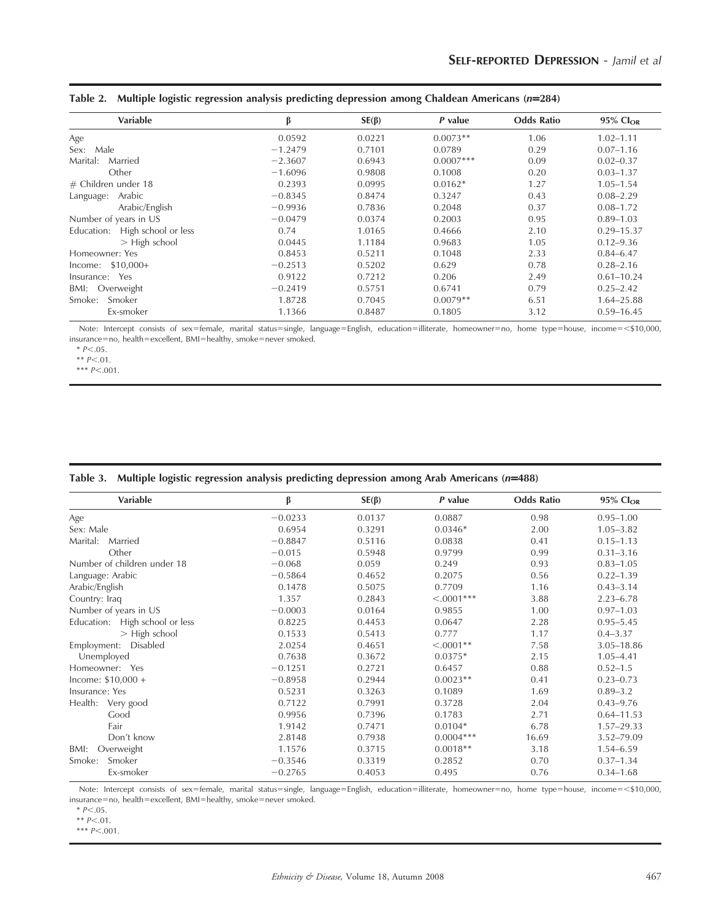| <b>Variable</b>                | β         | $SE(\beta)$ | P value     | <b>Odds Ratio</b> | $95\%$ Cl <sub>OR</sub> |
|--------------------------------|-----------|-------------|-------------|-------------------|-------------------------|
| Age                            | 0.0592    | 0.0221      | $0.0073**$  | 1.06              | $1.02 - 1.11$           |
| Male<br>Sex:                   | $-1.2479$ | 0.7101      | 0.0789      | 0.29              | $0.07 - 1.16$           |
| Married<br>Marital:            | $-2.3607$ | 0.6943      | $0.0007***$ | 0.09              | $0.02 - 0.37$           |
| Other                          | $-1.6096$ | 0.9808      | 0.1008      | 0.20              | $0.03 - 1.37$           |
| $#$ Children under 18          | 0.2393    | 0.0995      | $0.0162*$   | 1.27              | $1.05 - 1.54$           |
| Arabic<br>Language:            | $-0.8345$ | 0.8474      | 0.3247      | 0.43              | $0.08 - 2.29$           |
| Arabic/English                 | $-0.9936$ | 0.7836      | 0.2048      | 0.37              | $0.08 - 1.72$           |
| Number of years in US          | $-0.0479$ | 0.0374      | 0.2003      | 0.95              | $0.89 - 1.03$           |
| Education: High school or less | 0.74      | 1.0165      | 0.4666      | 2.10              | $0.29 - 15.37$          |
| $>$ High school                | 0.0445    | 1.1184      | 0.9683      | 1.05              | $0.12 - 9.36$           |
| Homeowner: Yes                 | 0.8453    | 0.5211      | 0.1048      | 2.33              | $0.84 - 6.47$           |
| $lncome: $10,000+$             | $-0.2513$ | 0.5202      | 0.629       | 0.78              | $0.28 - 2.16$           |
| Yes<br>Insurance:              | 0.9122    | 0.7212      | 0.206       | 2.49              | $0.61 - 10.24$          |
| BMI: Overweight                | $-0.2419$ | 0.5751      | 0.6741      | 0.79              | $0.25 - 2.42$           |
| Smoker<br>Smoke:               | 1.8728    | 0.7045      | $0.0079**$  | 6.51              | 1.64-25.88              |
| Ex-smoker                      | 1.1366    | 0.8487      | 0.1805      | 3.12              | $0.59 - 16.45$          |

|  |  |  |  | Table 2. Multiple logistic regression analysis predicting depression among Chaldean Americans $(n=284)$ |  |
|--|--|--|--|---------------------------------------------------------------------------------------------------------|--|
|  |  |  |  |                                                                                                         |  |

Note: Intercept consists of sex=female, marital status=single, language=English, education=illiterate, homeowner=no, home type=house, income=<\$10,000,  $insurance=no$ ,  $health=excellent$ ,  $BMI=healthy$ ,  $smoke=never$  smoked.

 $* P<.05.$ 

\*\*  $P<.01$ .

\*\*\*  $P$  <.001.

|  | Table 3. Multiple logistic regression analysis predicting depression among Arab Americans (n=488) |  |  |  |  |  |  |  |
|--|---------------------------------------------------------------------------------------------------|--|--|--|--|--|--|--|
|--|---------------------------------------------------------------------------------------------------|--|--|--|--|--|--|--|

| Variable                          | β         | $SE(\beta)$ | $P$ value    | <b>Odds Ratio</b> | $95\%$ Cl <sub>OR</sub> |
|-----------------------------------|-----------|-------------|--------------|-------------------|-------------------------|
| Age                               | $-0.0233$ | 0.0137      | 0.0887       | 0.98              | $0.95 - 1.00$           |
| Sex: Male                         | 0.6954    | 0.3291      | $0.0346*$    | 2.00              | $1.05 - 3.82$           |
| Marital:<br>Married               | $-0.8847$ | 0.5116      | 0.0838       | 0.41              | $0.15 - 1.13$           |
| Other                             | $-0.015$  | 0.5948      | 0.9799       | 0.99              | $0.31 - 3.16$           |
| Number of children under 18       | $-0.068$  | 0.059       | 0.249        | 0.93              | $0.83 - 1.05$           |
| Language: Arabic                  | $-0.5864$ | 0.4652      | 0.2075       | 0.56              | $0.22 - 1.39$           |
| Arabic/English                    | 0.1478    | 0.5075      | 0.7709       | 1.16              | $0.43 - 3.14$           |
| Country: Iraq                     | 1.357     | 0.2843      | $< .0001***$ | 3.88              | $2.23 - 6.78$           |
| Number of years in US             | $-0.0003$ | 0.0164      | 0.9855       | 1.00              | $0.97 - 1.03$           |
| High school or less<br>Education: | 0.8225    | 0.4453      | 0.0647       | 2.28              | $0.95 - 5.45$           |
| > High school                     | 0.1533    | 0.5413      | 0.777        | 1.17              | $0.4 - 3.37$            |
| Disabled<br>Employment:           | 2.0254    | 0.4651      | $< .0001**$  | 7.58              | 3.05-18.86              |
| Unemployed                        | 0.7638    | 0.3672      | $0.0375*$    | 2.15              | $1.05 - 4.41$           |
| Homeowner: Yes                    | $-0.1251$ | 0.2721      | 0.6457       | 0.88              | $0.52 - 1.5$            |
| $lncome: $10,000 +$               | $-0.8958$ | 0.2944      | $0.0023**$   | 0.41              | $0.23 - 0.73$           |
| Insurance: Yes                    | 0.5231    | 0.3263      | 0.1089       | 1.69              | $0.89 - 3.2$            |
| Health: Very good                 | 0.7122    | 0.7991      | 0.3728       | 2.04              | $0.43 - 9.76$           |
| Good                              | 0.9956    | 0.7396      | 0.1783       | 2.71              | $0.64 - 11.53$          |
| Fair                              | 1.9142    | 0.7471      | $0.0104*$    | 6.78              | 1.57-29.33              |
| Don't know                        | 2.8148    | 0.7938      | $0.0004***$  | 16.69             | 3.52-79.09              |
| Overweight<br>BMI:                | 1.1576    | 0.3715      | $0.0018**$   | 3.18              | $1.54 - 6.59$           |
| Smoker<br>Smoke:                  | $-0.3546$ | 0.3319      | 0.2852       | 0.70              | $0.37 - 1.34$           |
| Ex-smoker                         | $-0.2765$ | 0.4053      | 0.495        | 0.76              | $0.34 - 1.68$           |

Note: Intercept consists of sex=female, marital status=single, language=English, education=illiterate, homeowner=no, home type=house, income=<\$10,000, insurance=no, health=excellent, BMI=healthy, smoke=never smoked.

 $* P<.05.$ 

 $*$   $P$  < .01.

\*\*\*  $P<.001$ .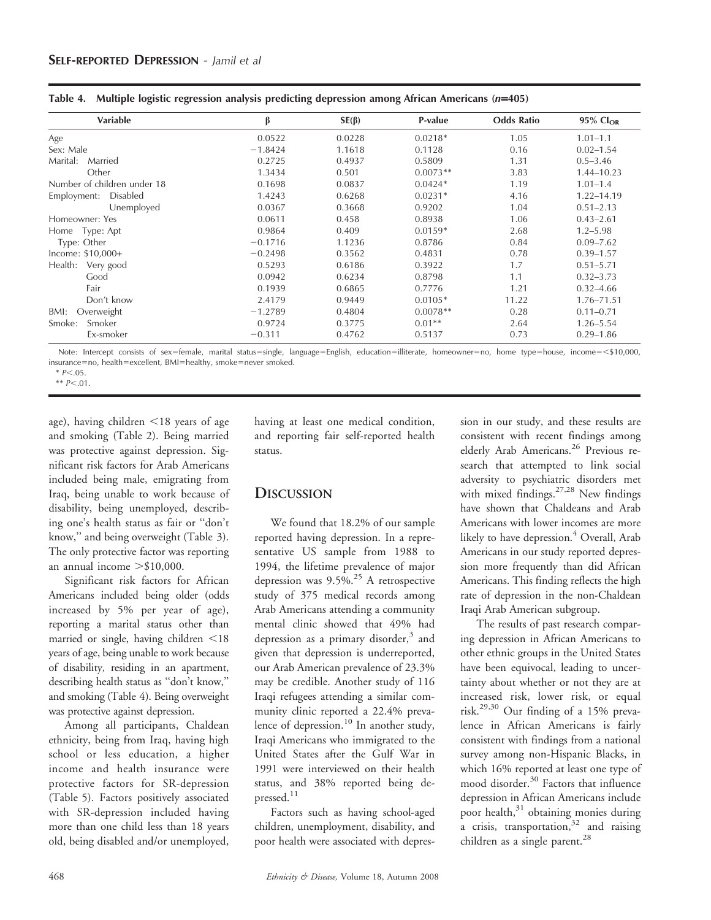| Variable                    | β         | $SE(\beta)$ | P-value    | <b>Odds Ratio</b> | 95% Cl <sub>OR</sub> |
|-----------------------------|-----------|-------------|------------|-------------------|----------------------|
| Age                         | 0.0522    | 0.0228      | $0.0218*$  | 1.05              | $1.01 - 1.1$         |
| Sex: Male                   | $-1.8424$ | 1.1618      | 0.1128     | 0.16              | $0.02 - 1.54$        |
| Marital:<br>Married         | 0.2725    | 0.4937      | 0.5809     | 1.31              | $0.5 - 3.46$         |
| Other                       | 1.3434    | 0.501       | $0.0073**$ | 3.83              | 1.44-10.23           |
| Number of children under 18 | 0.1698    | 0.0837      | $0.0424*$  | 1.19              | $1.01 - 1.4$         |
| Disabled<br>Employment:     | 1.4243    | 0.6268      | $0.0231*$  | 4.16              | 1.22-14.19           |
| Unemployed                  | 0.0367    | 0.3668      | 0.9202     | 1.04              | $0.51 - 2.13$        |
| Homeowner: Yes              | 0.0611    | 0.458       | 0.8938     | 1.06              | $0.43 - 2.61$        |
| Home Type: Apt              | 0.9864    | 0.409       | $0.0159*$  | 2.68              | $1.2 - 5.98$         |
| Type: Other                 | $-0.1716$ | 1.1236      | 0.8786     | 0.84              | $0.09 - 7.62$        |
| Income: $$10,000+$          | $-0.2498$ | 0.3562      | 0.4831     | 0.78              | $0.39 - 1.57$        |
| Health: Very good           | 0.5293    | 0.6186      | 0.3922     | 1.7               | $0.51 - 5.71$        |
| Good                        | 0.0942    | 0.6234      | 0.8798     | 1.1               | $0.32 - 3.73$        |
| Fair                        | 0.1939    | 0.6865      | 0.7776     | 1.21              | $0.32 - 4.66$        |
| Don't know                  | 2.4179    | 0.9449      | $0.0105*$  | 11.22             | 1.76-71.51           |
| Overweight<br>BMI:          | $-1.2789$ | 0.4804      | $0.0078**$ | 0.28              | $0.11 - 0.71$        |
| Smoker<br>Smoke:            | 0.9724    | 0.3775      | $0.01**$   | 2.64              | $1.26 - 5.54$        |
| Ex-smoker                   | $-0.311$  | 0.4762      | 0.5137     | 0.73              | $0.29 - 1.86$        |

Table 4. Multiple logistic regression analysis predicting depression among African Americans (n=405)

Note: Intercept consists of sex=female, marital status=single, language=English, education=illiterate, homeowner=no, home type=house, income=<\$10,000, insurance=no, health=excellent, BMI=healthy, smoke=never smoked.

 $*$   $P < .01$ .

age), having children  $\leq$ 18 years of age and smoking (Table 2). Being married was protective against depression. Significant risk factors for Arab Americans included being male, emigrating from Iraq, being unable to work because of disability, being unemployed, describing one's health status as fair or ''don't know,'' and being overweight (Table 3). The only protective factor was reporting an annual income  $> $10,000$ .

Significant risk factors for African Americans included being older (odds increased by 5% per year of age), reporting a marital status other than married or single, having children  $\leq$ 18 years of age, being unable to work because of disability, residing in an apartment, describing health status as ''don't know,'' and smoking (Table 4). Being overweight was protective against depression.

Among all participants, Chaldean ethnicity, being from Iraq, having high school or less education, a higher income and health insurance were protective factors for SR-depression (Table 5). Factors positively associated with SR-depression included having more than one child less than 18 years old, being disabled and/or unemployed, having at least one medical condition, and reporting fair self-reported health status.

# **DISCUSSION**

We found that 18.2% of our sample reported having depression. In a representative US sample from 1988 to 1994, the lifetime prevalence of major depression was  $9.5\%$ .<sup>25</sup> A retrospective study of 375 medical records among Arab Americans attending a community mental clinic showed that 49% had depression as a primary disorder,<sup>3</sup> and given that depression is underreported, our Arab American prevalence of 23.3% may be credible. Another study of 116 Iraqi refugees attending a similar community clinic reported a 22.4% prevalence of depression.<sup>10</sup> In another study, Iraqi Americans who immigrated to the United States after the Gulf War in 1991 were interviewed on their health status, and 38% reported being depressed. $11$ 

Factors such as having school-aged children, unemployment, disability, and poor health were associated with depression in our study, and these results are consistent with recent findings among elderly Arab Americans.<sup>26</sup> Previous research that attempted to link social adversity to psychiatric disorders met with mixed findings. $27,28$  New findings have shown that Chaldeans and Arab Americans with lower incomes are more likely to have depression.<sup>4</sup> Overall, Arab Americans in our study reported depression more frequently than did African Americans. This finding reflects the high rate of depression in the non-Chaldean Iraqi Arab American subgroup.

The results of past research comparing depression in African Americans to other ethnic groups in the United States have been equivocal, leading to uncertainty about whether or not they are at increased risk, lower risk, or equal risk.29,30 Our finding of a 15% prevalence in African Americans is fairly consistent with findings from a national survey among non-Hispanic Blacks, in which 16% reported at least one type of mood disorder.<sup>30</sup> Factors that influence depression in African Americans include poor health,<sup>31</sup> obtaining monies during a crisis, transportation, $32$  and raising children as a single parent.<sup>28</sup>

 $* P < 05$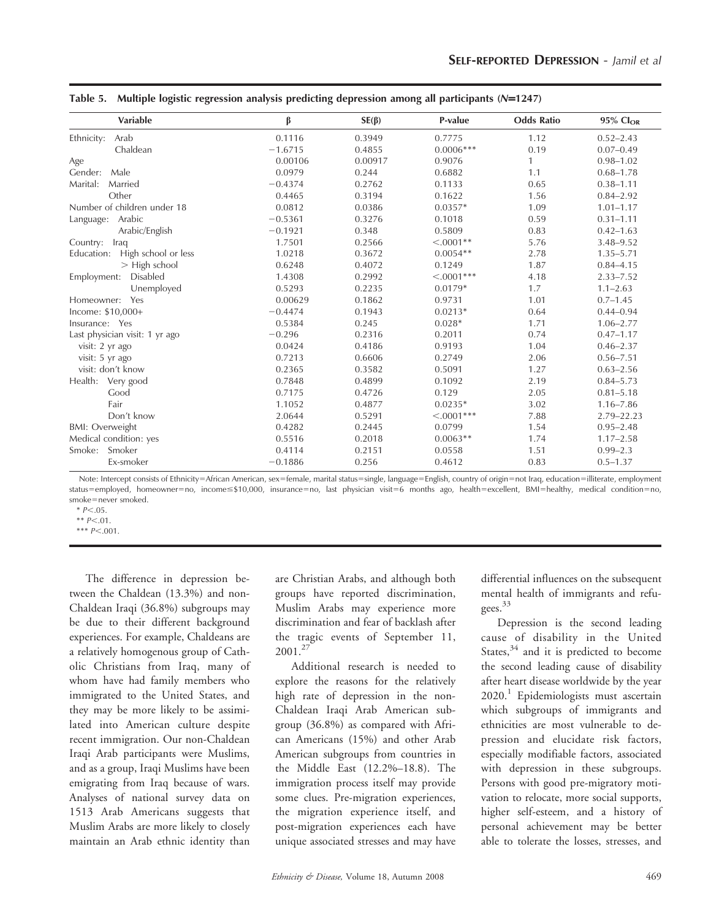| Variable                          | β         | $SE(\beta)$ | P-value      | <b>Odds Ratio</b> | 95% Cl <sub>OR</sub> |
|-----------------------------------|-----------|-------------|--------------|-------------------|----------------------|
| Arab<br>Ethnicity:                | 0.1116    | 0.3949      | 0.7775       | 1.12              | $0.52 - 2.43$        |
| Chaldean                          | $-1.6715$ | 0.4855      | $0.0006***$  | 0.19              | $0.07 - 0.49$        |
| Age                               | 0.00106   | 0.00917     | 0.9076       | $\mathbf{1}$      | $0.98 - 1.02$        |
| Male<br>Gender:                   | 0.0979    | 0.244       | 0.6882       | 1.1               | $0.68 - 1.78$        |
| Marital:<br>Married               | $-0.4374$ | 0.2762      | 0.1133       | 0.65              | $0.38 - 1.11$        |
| Other                             | 0.4465    | 0.3194      | 0.1622       | 1.56              | $0.84 - 2.92$        |
| Number of children under 18       | 0.0812    | 0.0386      | $0.0357*$    | 1.09              | $1.01 - 1.17$        |
| Language: Arabic                  | $-0.5361$ | 0.3276      | 0.1018       | 0.59              | $0.31 - 1.11$        |
| Arabic/English                    | $-0.1921$ | 0.348       | 0.5809       | 0.83              | $0.42 - 1.63$        |
| Country: Iraq                     | 1.7501    | 0.2566      | $< .0001**$  | 5.76              | $3.48 - 9.52$        |
| Education:<br>High school or less | 1.0218    | 0.3672      | $0.0054**$   | 2.78              | $1.35 - 5.71$        |
| $>$ High school                   | 0.6248    | 0.4072      | 0.1249       | 1.87              | $0.84 - 4.15$        |
| Disabled<br>Employment:           | 1.4308    | 0.2992      | $< .0001***$ | 4.18              | $2.33 - 7.52$        |
| Unemployed                        | 0.5293    | 0.2235      | $0.0179*$    | 1.7               | $1.1 - 2.63$         |
| Homeowner:<br>Yes                 | 0.00629   | 0.1862      | 0.9731       | 1.01              | $0.7 - 1.45$         |
| Income: \$10,000+                 | $-0.4474$ | 0.1943      | $0.0213*$    | 0.64              | $0.44 - 0.94$        |
| Insurance: Yes                    | 0.5384    | 0.245       | $0.028*$     | 1.71              | $1.06 - 2.77$        |
| Last physician visit: 1 yr ago    | $-0.296$  | 0.2316      | 0.2011       | 0.74              | $0.47 - 1.17$        |
| visit: 2 yr ago                   | 0.0424    | 0.4186      | 0.9193       | 1.04              | $0.46 - 2.37$        |
| visit: 5 yr ago                   | 0.7213    | 0.6606      | 0.2749       | 2.06              | $0.56 - 7.51$        |
| visit: don't know                 | 0.2365    | 0.3582      | 0.5091       | 1.27              | $0.63 - 2.56$        |
| Very good<br>Health:              | 0.7848    | 0.4899      | 0.1092       | 2.19              | $0.84 - 5.73$        |
| Good                              | 0.7175    | 0.4726      | 0.129        | 2.05              | $0.81 - 5.18$        |
| Fair                              | 1.1052    | 0.4877      | $0.0235*$    | 3.02              | $1.16 - 7.86$        |
| Don't know                        | 2.0644    | 0.5291      | $< .0001***$ | 7.88              | $2.79 - 22.23$       |
| <b>BMI: Overweight</b>            | 0.4282    | 0.2445      | 0.0799       | 1.54              | $0.95 - 2.48$        |
| Medical condition: yes            | 0.5516    | 0.2018      | $0.0063**$   | 1.74              | $1.17 - 2.58$        |
| Smoker<br>Smoke:                  | 0.4114    | 0.2151      | 0.0558       | 1.51              | $0.99 - 2.3$         |
| Ex-smoker                         | $-0.1886$ | 0.256       | 0.4612       | 0.83              | $0.5 - 1.37$         |

| Table 5. Multiple logistic regression analysis predicting depression among all participants (N=1247) |  |  |  |  |
|------------------------------------------------------------------------------------------------------|--|--|--|--|
|                                                                                                      |  |  |  |  |

Note: Intercept consists of Ethnicity=African American, sex=female, marital status=single, language=English, country of origin=not Iraq, education=illiterate, employment status=employed, homeowner=no, income≤\$10,000, insurance=no, last physician visit=6 months ago, health=excellent, BMI=healthy, medical condition=no, smoke=never smoked.

 $*$   $P < .01$ .

\*\*\*  $P<.001$ .

The difference in depression between the Chaldean (13.3%) and non-Chaldean Iraqi (36.8%) subgroups may be due to their different background experiences. For example, Chaldeans are a relatively homogenous group of Catholic Christians from Iraq, many of whom have had family members who immigrated to the United States, and they may be more likely to be assimilated into American culture despite recent immigration. Our non-Chaldean Iraqi Arab participants were Muslims, and as a group, Iraqi Muslims have been emigrating from Iraq because of wars. Analyses of national survey data on 1513 Arab Americans suggests that Muslim Arabs are more likely to closely maintain an Arab ethnic identity than are Christian Arabs, and although both groups have reported discrimination, Muslim Arabs may experience more discrimination and fear of backlash after the tragic events of September 11, 2001.<sup>27</sup>

Additional research is needed to explore the reasons for the relatively high rate of depression in the non-Chaldean Iraqi Arab American subgroup (36.8%) as compared with African Americans (15%) and other Arab American subgroups from countries in the Middle East (12.2%–18.8). The immigration process itself may provide some clues. Pre-migration experiences, the migration experience itself, and post-migration experiences each have unique associated stresses and may have differential influences on the subsequent mental health of immigrants and refugees.33

Depression is the second leading cause of disability in the United States, $34$  and it is predicted to become the second leading cause of disability after heart disease worldwide by the year 2020.<sup>1</sup> Epidemiologists must ascertain which subgroups of immigrants and ethnicities are most vulnerable to depression and elucidate risk factors, especially modifiable factors, associated with depression in these subgroups. Persons with good pre-migratory motivation to relocate, more social supports, higher self-esteem, and a history of personal achievement may be better able to tolerate the losses, stresses, and

 $* P < 05$